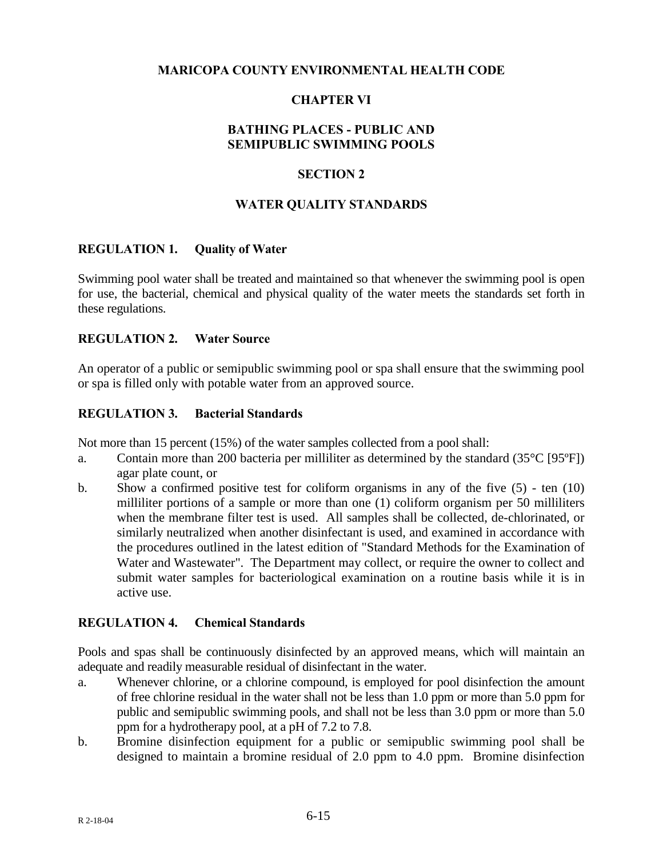### **MARICOPA COUNTY ENVIRONMENTAL HEALTH CODE**

## **CHAPTER VI**

## **BATHING PLACES - PUBLIC AND SEMIPUBLIC SWIMMING POOLS**

### **SECTION 2**

#### **WATER QUALITY STANDARDS**

#### **REGULATION 1. Quality of Water**

Swimming pool water shall be treated and maintained so that whenever the swimming pool is open for use, the bacterial, chemical and physical quality of the water meets the standards set forth in these regulations.

### **REGULATION 2. Water Source**

An operator of a public or semipublic swimming pool or spa shall ensure that the swimming pool or spa is filled only with potable water from an approved source.

#### **REGULATION 3. Bacterial Standards**

Not more than 15 percent (15%) of the water samples collected from a pool shall:

- a. Contain more than 200 bacteria per milliliter as determined by the standard  $(35^{\circ}C)$  [95 $^{\circ}$ F]) agar plate count, or
- b. Show a confirmed positive test for coliform organisms in any of the five (5) ten (10) milliliter portions of a sample or more than one (1) coliform organism per 50 milliliters when the membrane filter test is used. All samples shall be collected, de-chlorinated, or similarly neutralized when another disinfectant is used, and examined in accordance with the procedures outlined in the latest edition of "Standard Methods for the Examination of Water and Wastewater". The Department may collect, or require the owner to collect and submit water samples for bacteriological examination on a routine basis while it is in active use.

### **REGULATION 4. Chemical Standards**

Pools and spas shall be continuously disinfected by an approved means, which will maintain an adequate and readily measurable residual of disinfectant in the water.

- a. Whenever chlorine, or a chlorine compound, is employed for pool disinfection the amount of free chlorine residual in the water shall not be less than 1.0 ppm or more than 5.0 ppm for public and semipublic swimming pools, and shall not be less than 3.0 ppm or more than 5.0 ppm for a hydrotherapy pool, at a pH of 7.2 to 7.8.
- b. Bromine disinfection equipment for a public or semipublic swimming pool shall be designed to maintain a bromine residual of 2.0 ppm to 4.0 ppm. Bromine disinfection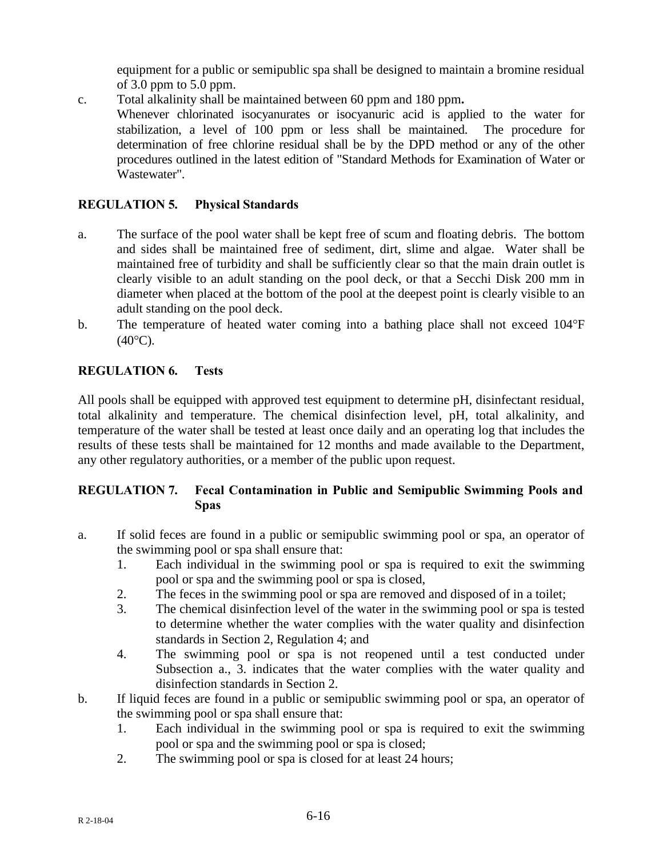equipment for a public or semipublic spa shall be designed to maintain a bromine residual of 3.0 ppm to 5.0 ppm.

c. Total alkalinity shall be maintained between 60 ppm and 180 ppm**.**  Whenever chlorinated isocyanurates or isocyanuric acid is applied to the water for stabilization, a level of 100 ppm or less shall be maintained. The procedure for determination of free chlorine residual shall be by the DPD method or any of the other procedures outlined in the latest edition of "Standard Methods for Examination of Water or Wastewater".

## **REGULATION 5. Physical Standards**

- a. The surface of the pool water shall be kept free of scum and floating debris. The bottom and sides shall be maintained free of sediment, dirt, slime and algae. Water shall be maintained free of turbidity and shall be sufficiently clear so that the main drain outlet is clearly visible to an adult standing on the pool deck, or that a Secchi Disk 200 mm in diameter when placed at the bottom of the pool at the deepest point is clearly visible to an adult standing on the pool deck.
- b. The temperature of heated water coming into a bathing place shall not exceed 104°F  $(40^{\circ}C)$ .

## **REGULATION 6. Tests**

All pools shall be equipped with approved test equipment to determine pH, disinfectant residual, total alkalinity and temperature. The chemical disinfection level, pH, total alkalinity, and temperature of the water shall be tested at least once daily and an operating log that includes the results of these tests shall be maintained for 12 months and made available to the Department, any other regulatory authorities, or a member of the public upon request.

# **REGULATION 7. Fecal Contamination in Public and Semipublic Swimming Pools and Spas**

- a. If solid feces are found in a public or semipublic swimming pool or spa, an operator of the swimming pool or spa shall ensure that:
	- 1. Each individual in the swimming pool or spa is required to exit the swimming pool or spa and the swimming pool or spa is closed,
	- 2. The feces in the swimming pool or spa are removed and disposed of in a toilet;
	- 3. The chemical disinfection level of the water in the swimming pool or spa is tested to determine whether the water complies with the water quality and disinfection standards in Section 2, Regulation 4; and
	- 4. The swimming pool or spa is not reopened until a test conducted under Subsection a., 3. indicates that the water complies with the water quality and disinfection standards in Section 2.
- b. If liquid feces are found in a public or semipublic swimming pool or spa, an operator of the swimming pool or spa shall ensure that:
	- 1. Each individual in the swimming pool or spa is required to exit the swimming pool or spa and the swimming pool or spa is closed;
	- 2. The swimming pool or spa is closed for at least 24 hours;